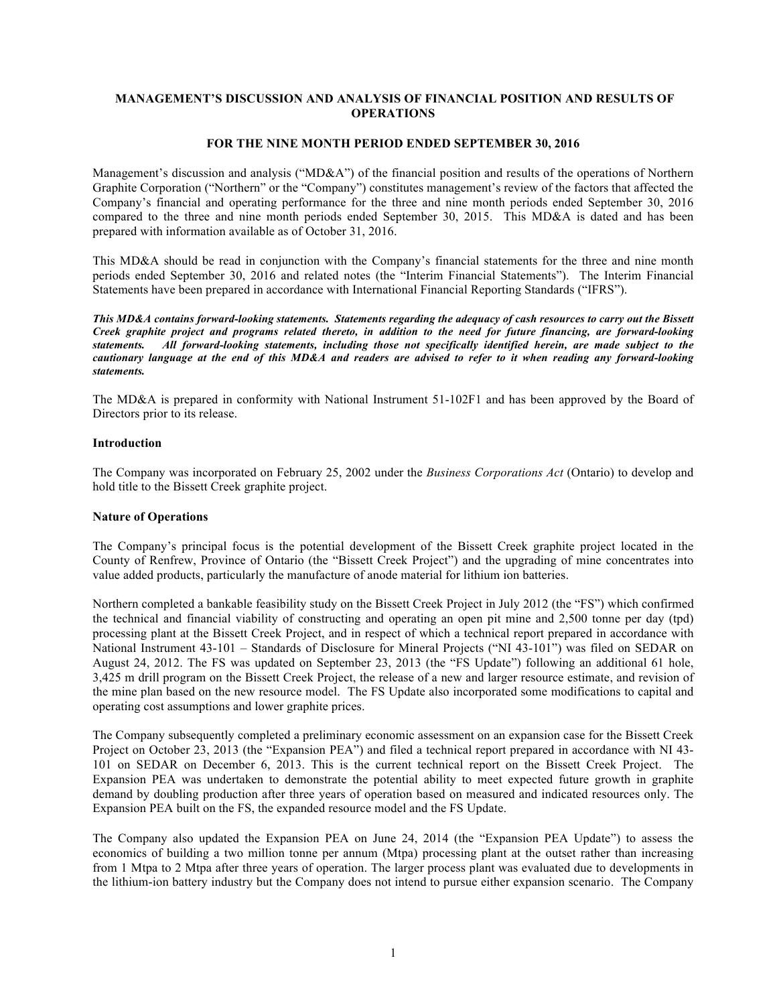# **MANAGEMENT'S DISCUSSION AND ANALYSIS OF FINANCIAL POSITION AND RESULTS OF OPERATIONS**

### **FOR THE NINE MONTH PERIOD ENDED SEPTEMBER 30, 2016**

Management's discussion and analysis ("MD&A") of the financial position and results of the operations of Northern Graphite Corporation ("Northern" or the "Company") constitutes management's review of the factors that affected the Company's financial and operating performance for the three and nine month periods ended September 30, 2016 compared to the three and nine month periods ended September 30, 2015. This MD&A is dated and has been prepared with information available as of October 31, 2016.

This MD&A should be read in conjunction with the Company's financial statements for the three and nine month periods ended September 30, 2016 and related notes (the "Interim Financial Statements"). The Interim Financial Statements have been prepared in accordance with International Financial Reporting Standards ("IFRS").

*This MD&A contains forward-looking statements. Statements regarding the adequacy of cash resources to carry out the Bissett Creek graphite project and programs related thereto, in addition to the need for future financing, are forward-looking statements. All forward-looking statements, including those not specifically identified herein, are made subject to the cautionary language at the end of this MD&A and readers are advised to refer to it when reading any forward-looking statements.*

The MD&A is prepared in conformity with National Instrument 51-102F1 and has been approved by the Board of Directors prior to its release.

### **Introduction**

The Company was incorporated on February 25, 2002 under the *Business Corporations Act* (Ontario) to develop and hold title to the Bissett Creek graphite project.

### **Nature of Operations**

The Company's principal focus is the potential development of the Bissett Creek graphite project located in the County of Renfrew, Province of Ontario (the "Bissett Creek Project") and the upgrading of mine concentrates into value added products, particularly the manufacture of anode material for lithium ion batteries.

Northern completed a bankable feasibility study on the Bissett Creek Project in July 2012 (the "FS") which confirmed the technical and financial viability of constructing and operating an open pit mine and 2,500 tonne per day (tpd) processing plant at the Bissett Creek Project, and in respect of which a technical report prepared in accordance with National Instrument 43-101 – Standards of Disclosure for Mineral Projects ("NI 43-101") was filed on SEDAR on August 24, 2012. The FS was updated on September 23, 2013 (the "FS Update") following an additional 61 hole, 3,425 m drill program on the Bissett Creek Project, the release of a new and larger resource estimate, and revision of the mine plan based on the new resource model. The FS Update also incorporated some modifications to capital and operating cost assumptions and lower graphite prices.

The Company subsequently completed a preliminary economic assessment on an expansion case for the Bissett Creek Project on October 23, 2013 (the "Expansion PEA") and filed a technical report prepared in accordance with NI 43-101 on SEDAR on December 6, 2013. This is the current technical report on the Bissett Creek Project. The Expansion PEA was undertaken to demonstrate the potential ability to meet expected future growth in graphite demand by doubling production after three years of operation based on measured and indicated resources only. The Expansion PEA built on the FS, the expanded resource model and the FS Update.

The Company also updated the Expansion PEA on June 24, 2014 (the "Expansion PEA Update") to assess the economics of building a two million tonne per annum (Mtpa) processing plant at the outset rather than increasing from 1 Mtpa to 2 Mtpa after three years of operation. The larger process plant was evaluated due to developments in the lithium-ion battery industry but the Company does not intend to pursue either expansion scenario. The Company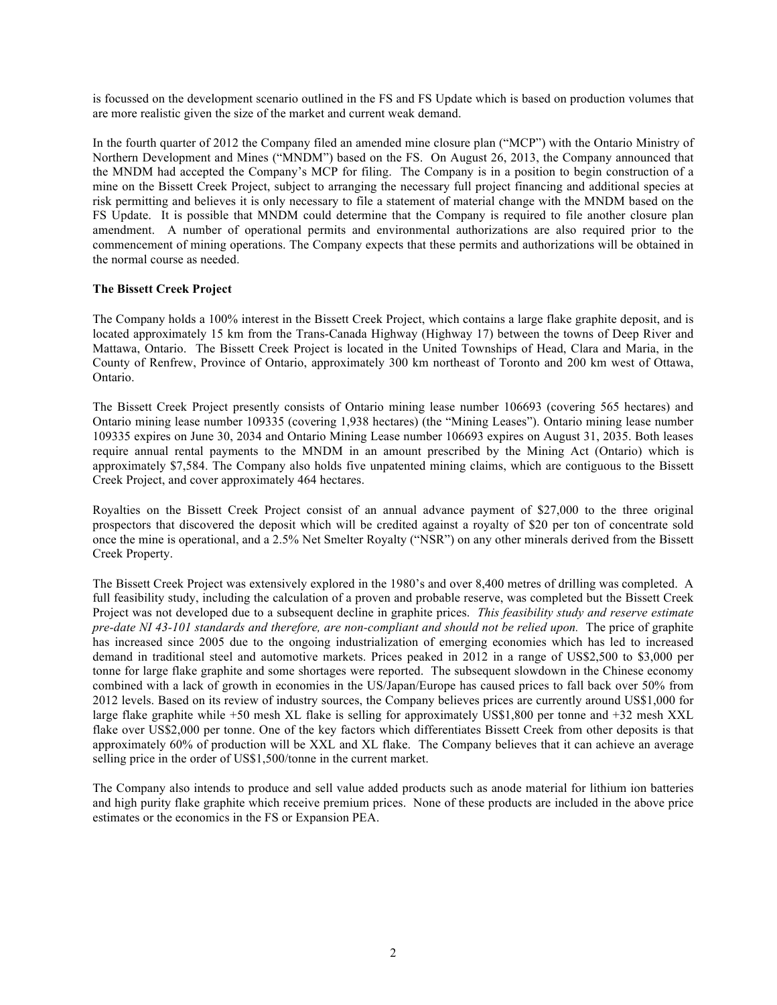is focussed on the development scenario outlined in the FS and FS Update which is based on production volumes that are more realistic given the size of the market and current weak demand.

In the fourth quarter of 2012 the Company filed an amended mine closure plan ("MCP") with the Ontario Ministry of Northern Development and Mines ("MNDM") based on the FS. On August 26, 2013, the Company announced that the MNDM had accepted the Company's MCP for filing. The Company is in a position to begin construction of a mine on the Bissett Creek Project, subject to arranging the necessary full project financing and additional species at risk permitting and believes it is only necessary to file a statement of material change with the MNDM based on the FS Update. It is possible that MNDM could determine that the Company is required to file another closure plan amendment. A number of operational permits and environmental authorizations are also required prior to the commencement of mining operations. The Company expects that these permits and authorizations will be obtained in the normal course as needed.

# **The Bissett Creek Project**

The Company holds a 100% interest in the Bissett Creek Project, which contains a large flake graphite deposit, and is located approximately 15 km from the Trans-Canada Highway (Highway 17) between the towns of Deep River and Mattawa, Ontario. The Bissett Creek Project is located in the United Townships of Head, Clara and Maria, in the County of Renfrew, Province of Ontario, approximately 300 km northeast of Toronto and 200 km west of Ottawa, Ontario.

The Bissett Creek Project presently consists of Ontario mining lease number 106693 (covering 565 hectares) and Ontario mining lease number 109335 (covering 1,938 hectares) (the "Mining Leases"). Ontario mining lease number 109335 expires on June 30, 2034 and Ontario Mining Lease number 106693 expires on August 31, 2035. Both leases require annual rental payments to the MNDM in an amount prescribed by the Mining Act (Ontario) which is approximately \$7,584. The Company also holds five unpatented mining claims, which are contiguous to the Bissett Creek Project, and cover approximately 464 hectares.

Royalties on the Bissett Creek Project consist of an annual advance payment of \$27,000 to the three original prospectors that discovered the deposit which will be credited against a royalty of \$20 per ton of concentrate sold once the mine is operational, and a 2.5% Net Smelter Royalty ("NSR") on any other minerals derived from the Bissett Creek Property.

The Bissett Creek Project was extensively explored in the 1980's and over 8,400 metres of drilling was completed. A full feasibility study, including the calculation of a proven and probable reserve, was completed but the Bissett Creek Project was not developed due to a subsequent decline in graphite prices. *This feasibility study and reserve estimate pre-date NI 43-101 standards and therefore, are non-compliant and should not be relied upon.* The price of graphite has increased since 2005 due to the ongoing industrialization of emerging economies which has led to increased demand in traditional steel and automotive markets. Prices peaked in 2012 in a range of US\$2,500 to \$3,000 per tonne for large flake graphite and some shortages were reported. The subsequent slowdown in the Chinese economy combined with a lack of growth in economies in the US/Japan/Europe has caused prices to fall back over 50% from 2012 levels. Based on its review of industry sources, the Company believes prices are currently around US\$1,000 for large flake graphite while +50 mesh XL flake is selling for approximately US\$1,800 per tonne and +32 mesh XXL flake over US\$2,000 per tonne. One of the key factors which differentiates Bissett Creek from other deposits is that approximately 60% of production will be XXL and XL flake. The Company believes that it can achieve an average selling price in the order of US\$1,500/tonne in the current market.

The Company also intends to produce and sell value added products such as anode material for lithium ion batteries and high purity flake graphite which receive premium prices. None of these products are included in the above price estimates or the economics in the FS or Expansion PEA.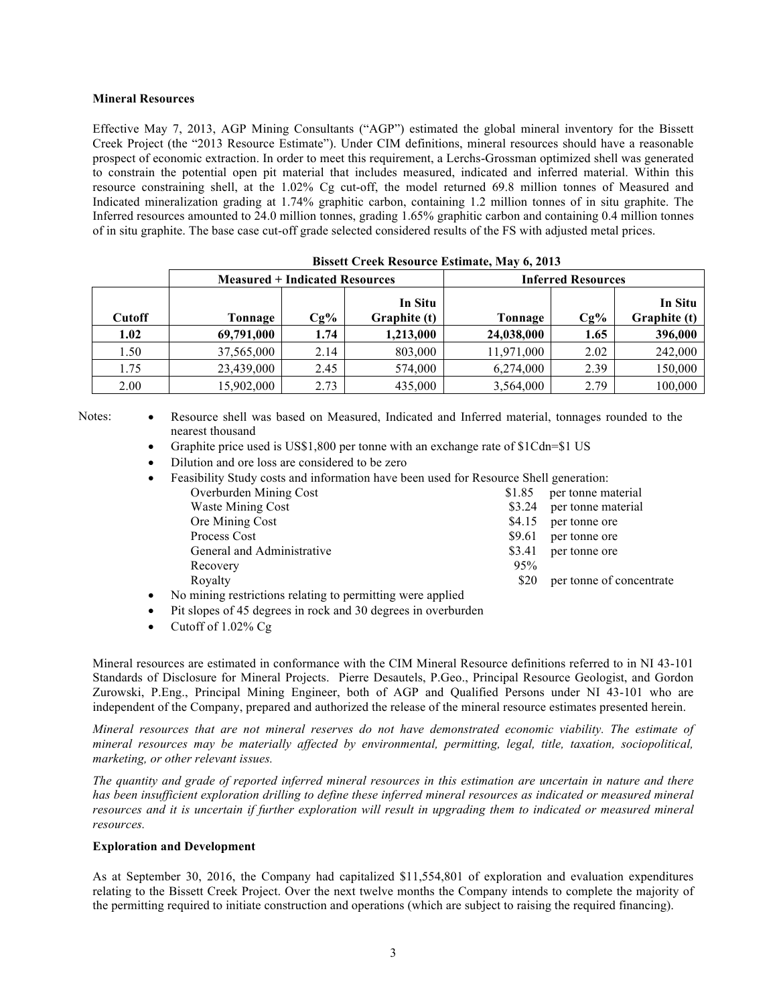## **Mineral Resources**

Effective May 7, 2013, AGP Mining Consultants ("AGP") estimated the global mineral inventory for the Bissett Creek Project (the "2013 Resource Estimate"). Under CIM definitions, mineral resources should have a reasonable prospect of economic extraction. In order to meet this requirement, a Lerchs-Grossman optimized shell was generated to constrain the potential open pit material that includes measured, indicated and inferred material. Within this resource constraining shell, at the 1.02% Cg cut-off, the model returned 69.8 million tonnes of Measured and Indicated mineralization grading at 1.74% graphitic carbon, containing 1.2 million tonnes of in situ graphite. The Inferred resources amounted to 24.0 million tonnes, grading 1.65% graphitic carbon and containing 0.4 million tonnes of in situ graphite. The base case cut-off grade selected considered results of the FS with adjusted metal prices.

|               | <b>Measured + Indicated Resources</b> |        |                         | <b>Inferred Resources</b> |        |                         |
|---------------|---------------------------------------|--------|-------------------------|---------------------------|--------|-------------------------|
| <b>Cutoff</b> | Tonnage                               | $Cg\%$ | In Situ<br>Graphite (t) | Tonnage                   | $Cg\%$ | In Situ<br>Graphite (t) |
| 1.02          | 69,791,000                            | 1.74   | 1,213,000               | 24,038,000                | 1.65   | 396,000                 |
| 1.50          | 37,565,000                            | 2.14   | 803,000                 | 11,971,000                | 2.02   | 242,000                 |
| 1.75          | 23,439,000                            | 2.45   | 574,000                 | 6,274,000                 | 2.39   | 150,000                 |
| 2.00          | 15,902,000                            | 2.73   | 435,000                 | 3,564,000                 | 2.79   | 100,000                 |

Notes: • Resource shell was based on Measured, Indicated and Inferred material, tonnages rounded to the nearest thousand

- Graphite price used is US\$1,800 per tonne with an exchange rate of \$1Cdn=\$1 US
- Dilution and ore loss are considered to be zero

| $\bullet$ | Feasibility Study costs and information have been used for Resource Shell generation:                                                                                                                                          |        |                           |
|-----------|--------------------------------------------------------------------------------------------------------------------------------------------------------------------------------------------------------------------------------|--------|---------------------------|
|           | Overburden Mining Cost                                                                                                                                                                                                         | \$1.85 | per tonne material        |
|           | <b>Waste Mining Cost</b>                                                                                                                                                                                                       |        | \$3.24 per tonne material |
|           | Ore Mining Cost                                                                                                                                                                                                                | \$4.15 | per tonne ore             |
|           | Process Cost                                                                                                                                                                                                                   | \$9.61 | per tonne ore             |
|           | General and Administrative                                                                                                                                                                                                     | \$3.41 | per tonne ore             |
|           | Recovery                                                                                                                                                                                                                       | 95%    |                           |
|           | Royalty                                                                                                                                                                                                                        | \$20   | per tonne of concentrate  |
|           | in the contract of the contract of the contract of the contract of the contract of the contract of the contract of the contract of the contract of the contract of the contract of the contract of the contract of the contrac |        |                           |

- No mining restrictions relating to permitting were applied
- Pit slopes of 45 degrees in rock and 30 degrees in overburden
- Cutoff of 1.02% Cg

Mineral resources are estimated in conformance with the CIM Mineral Resource definitions referred to in NI 43-101 Standards of Disclosure for Mineral Projects. Pierre Desautels, P.Geo., Principal Resource Geologist, and Gordon Zurowski, P.Eng., Principal Mining Engineer, both of AGP and Qualified Persons under NI 43-101 who are independent of the Company, prepared and authorized the release of the mineral resource estimates presented herein.

*Mineral resources that are not mineral reserves do not have demonstrated economic viability. The estimate of mineral resources may be materially affected by environmental, permitting, legal, title, taxation, sociopolitical, marketing, or other relevant issues.*

*The quantity and grade of reported inferred mineral resources in this estimation are uncertain in nature and there has been insufficient exploration drilling to define these inferred mineral resources as indicated or measured mineral resources and it is uncertain if further exploration will result in upgrading them to indicated or measured mineral resources.*

### **Exploration and Development**

As at September 30, 2016, the Company had capitalized \$11,554,801 of exploration and evaluation expenditures relating to the Bissett Creek Project. Over the next twelve months the Company intends to complete the majority of the permitting required to initiate construction and operations (which are subject to raising the required financing).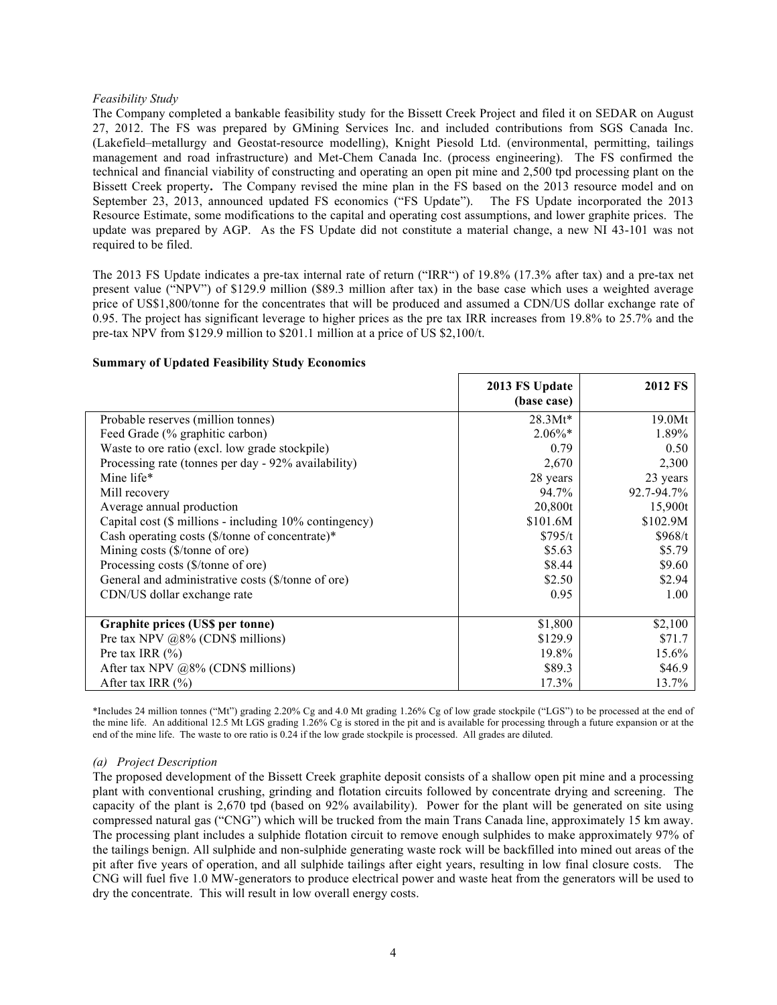### *Feasibility Study*

The Company completed a bankable feasibility study for the Bissett Creek Project and filed it on SEDAR on August 27, 2012. The FS was prepared by GMining Services Inc. and included contributions from SGS Canada Inc. (Lakefield–metallurgy and Geostat-resource modelling), Knight Piesold Ltd. (environmental, permitting, tailings management and road infrastructure) and Met-Chem Canada Inc. (process engineering). The FS confirmed the technical and financial viability of constructing and operating an open pit mine and 2,500 tpd processing plant on the Bissett Creek property**.** The Company revised the mine plan in the FS based on the 2013 resource model and on September 23, 2013, announced updated FS economics ("FS Update"). The FS Update incorporated the 2013 Resource Estimate, some modifications to the capital and operating cost assumptions, and lower graphite prices. The update was prepared by AGP. As the FS Update did not constitute a material change, a new NI 43-101 was not required to be filed.

The 2013 FS Update indicates a pre-tax internal rate of return ("IRR") of 19.8% (17.3% after tax) and a pre-tax net present value ("NPV") of \$129.9 million (\$89.3 million after tax) in the base case which uses a weighted average price of US\$1,800/tonne for the concentrates that will be produced and assumed a CDN/US dollar exchange rate of 0.95. The project has significant leverage to higher prices as the pre tax IRR increases from 19.8% to 25.7% and the pre-tax NPV from \$129.9 million to \$201.1 million at a price of US \$2,100/t.

### **Summary of Updated Feasibility Study Economics**

|                                                        | 2013 FS Update | <b>2012 FS</b> |
|--------------------------------------------------------|----------------|----------------|
|                                                        | (base case)    |                |
| Probable reserves (million tonnes)                     | $28.3Mt*$      | 19.0Mt         |
| Feed Grade (% graphitic carbon)                        | $2.06\%*$      | 1.89%          |
| Waste to ore ratio (excl. low grade stockpile)         | 0.79           | 0.50           |
| Processing rate (tonnes per day - 92% availability)    | 2,670          | 2,300          |
| Mine life*                                             | 28 years       | 23 years       |
| Mill recovery                                          | 94.7%          | 92.7-94.7%     |
| Average annual production                              | 20,800t        | 15,900t        |
| Capital cost (\$ millions - including 10% contingency) | \$101.6M       | \$102.9M       |
| Cash operating costs (\$/tonne of concentrate)*        | \$795/t        | \$968/t        |
| Mining costs (\$/tonne of ore)                         | \$5.63         | \$5.79         |
| Processing costs (\$/tonne of ore)                     | \$8.44         | \$9.60         |
| General and administrative costs (\$/tonne of ore)     | \$2.50         | \$2.94         |
| CDN/US dollar exchange rate                            | 0.95           | 1.00           |
|                                                        |                |                |
| Graphite prices (US\$ per tonne)                       | \$1,800        | \$2,100        |
| Pre tax NPV $@8\%$ (CDN\$ millions)                    | \$129.9        | \$71.7         |
| Pre tax IRR $(\% )$                                    | 19.8%          | 15.6%          |
| After tax NPV $@8\%$ (CDN\$ millions)                  | \$89.3         | \$46.9         |
| After tax IRR $(\% )$                                  | 17.3%          | 13.7%          |

\*Includes 24 million tonnes ("Mt") grading 2.20% Cg and 4.0 Mt grading 1.26% Cg of low grade stockpile ("LGS") to be processed at the end of the mine life. An additional 12.5 Mt LGS grading 1.26% Cg is stored in the pit and is available for processing through a future expansion or at the end of the mine life. The waste to ore ratio is 0.24 if the low grade stockpile is processed. All grades are diluted.

### *(a) Project Description*

The proposed development of the Bissett Creek graphite deposit consists of a shallow open pit mine and a processing plant with conventional crushing, grinding and flotation circuits followed by concentrate drying and screening. The capacity of the plant is 2,670 tpd (based on 92% availability). Power for the plant will be generated on site using compressed natural gas ("CNG") which will be trucked from the main Trans Canada line, approximately 15 km away. The processing plant includes a sulphide flotation circuit to remove enough sulphides to make approximately 97% of the tailings benign. All sulphide and non-sulphide generating waste rock will be backfilled into mined out areas of the pit after five years of operation, and all sulphide tailings after eight years, resulting in low final closure costs. The CNG will fuel five 1.0 MW-generators to produce electrical power and waste heat from the generators will be used to dry the concentrate. This will result in low overall energy costs.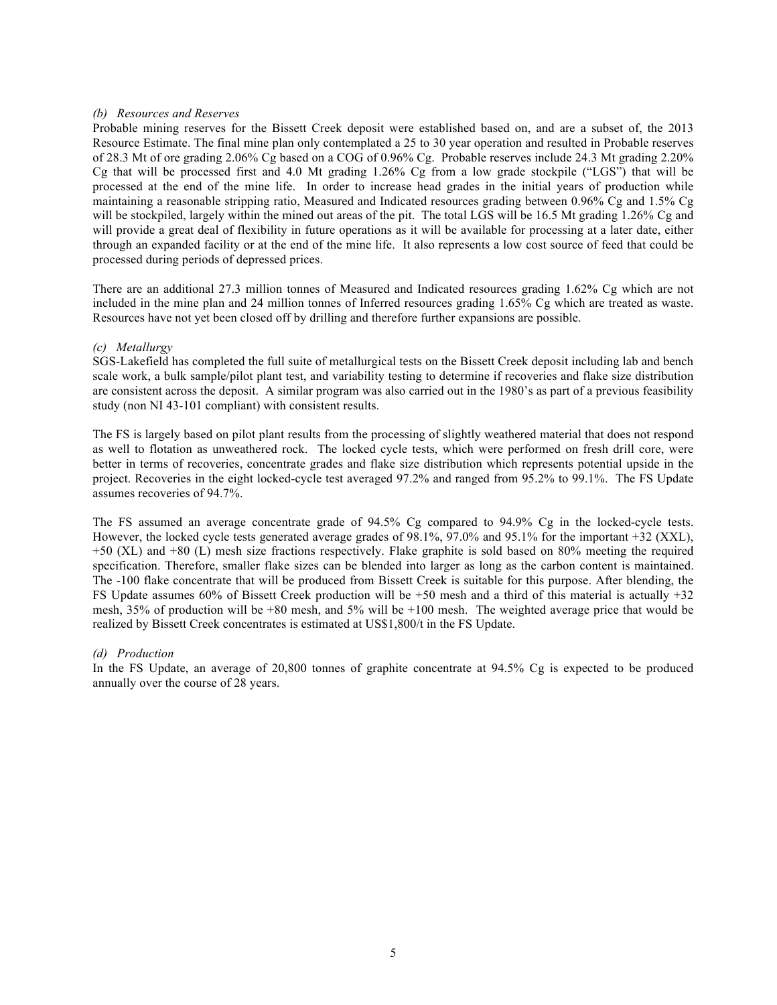#### *(b) Resources and Reserves*

Probable mining reserves for the Bissett Creek deposit were established based on, and are a subset of, the 2013 Resource Estimate. The final mine plan only contemplated a 25 to 30 year operation and resulted in Probable reserves of 28.3 Mt of ore grading 2.06% Cg based on a COG of 0.96% Cg. Probable reserves include 24.3 Mt grading 2.20% Cg that will be processed first and 4.0 Mt grading 1.26% Cg from a low grade stockpile ("LGS") that will be processed at the end of the mine life. In order to increase head grades in the initial years of production while maintaining a reasonable stripping ratio, Measured and Indicated resources grading between 0.96% Cg and 1.5% Cg will be stockpiled, largely within the mined out areas of the pit. The total LGS will be 16.5 Mt grading 1.26% Cg and will provide a great deal of flexibility in future operations as it will be available for processing at a later date, either through an expanded facility or at the end of the mine life. It also represents a low cost source of feed that could be processed during periods of depressed prices.

There are an additional 27.3 million tonnes of Measured and Indicated resources grading 1.62% Cg which are not included in the mine plan and 24 million tonnes of Inferred resources grading 1.65% Cg which are treated as waste. Resources have not yet been closed off by drilling and therefore further expansions are possible.

#### *(c) Metallurgy*

SGS-Lakefield has completed the full suite of metallurgical tests on the Bissett Creek deposit including lab and bench scale work, a bulk sample/pilot plant test, and variability testing to determine if recoveries and flake size distribution are consistent across the deposit. A similar program was also carried out in the 1980's as part of a previous feasibility study (non NI 43-101 compliant) with consistent results.

The FS is largely based on pilot plant results from the processing of slightly weathered material that does not respond as well to flotation as unweathered rock. The locked cycle tests, which were performed on fresh drill core, were better in terms of recoveries, concentrate grades and flake size distribution which represents potential upside in the project. Recoveries in the eight locked-cycle test averaged 97.2% and ranged from 95.2% to 99.1%. The FS Update assumes recoveries of 94.7%.

The FS assumed an average concentrate grade of 94.5% Cg compared to 94.9% Cg in the locked-cycle tests. However, the locked cycle tests generated average grades of 98.1%, 97.0% and 95.1% for the important +32 (XXL), +50 (XL) and +80 (L) mesh size fractions respectively. Flake graphite is sold based on 80% meeting the required specification. Therefore, smaller flake sizes can be blended into larger as long as the carbon content is maintained. The -100 flake concentrate that will be produced from Bissett Creek is suitable for this purpose. After blending, the FS Update assumes 60% of Bissett Creek production will be +50 mesh and a third of this material is actually +32 mesh, 35% of production will be +80 mesh, and 5% will be +100 mesh. The weighted average price that would be realized by Bissett Creek concentrates is estimated at US\$1,800/t in the FS Update.

#### *(d) Production*

In the FS Update, an average of 20,800 tonnes of graphite concentrate at 94.5% Cg is expected to be produced annually over the course of 28 years.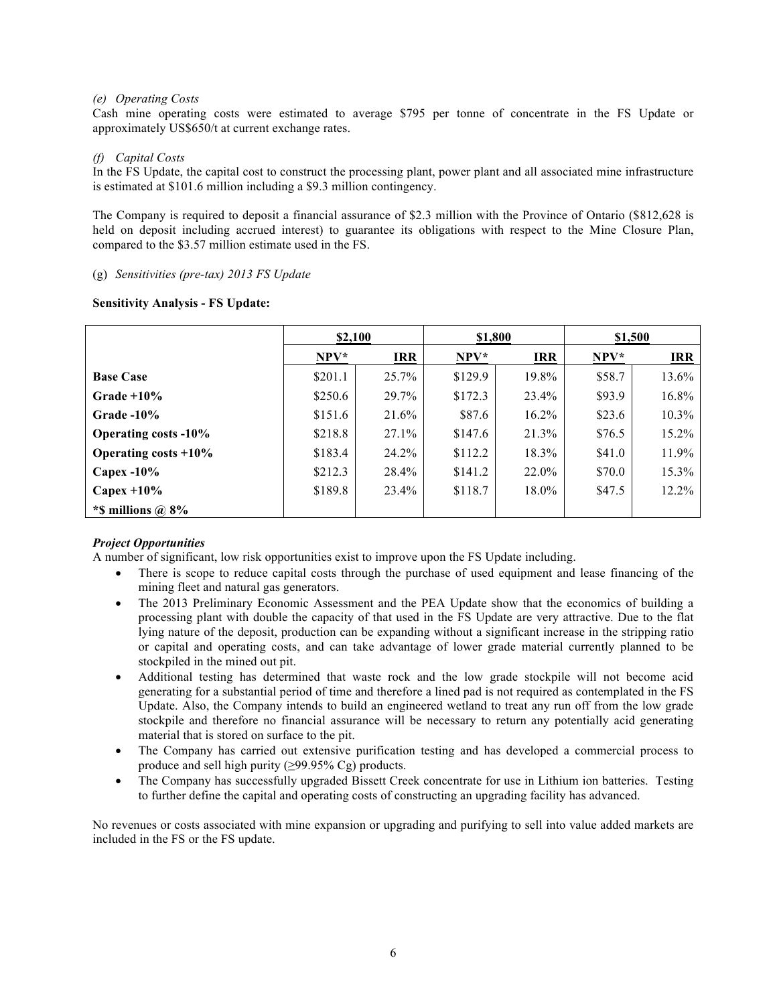### *(e) Operating Costs*

Cash mine operating costs were estimated to average \$795 per tonne of concentrate in the FS Update or approximately US\$650/t at current exchange rates.

## *(f) Capital Costs*

In the FS Update, the capital cost to construct the processing plant, power plant and all associated mine infrastructure is estimated at \$101.6 million including a \$9.3 million contingency.

The Company is required to deposit a financial assurance of \$2.3 million with the Province of Ontario (\$812,628 is held on deposit including accrued interest) to guarantee its obligations with respect to the Mine Closure Plan, compared to the \$3.57 million estimate used in the FS.

## (g) *Sensitivities (pre-tax) 2013 FS Update*

## **Sensitivity Analysis - FS Update:**

|                             | \$2,100 |            | \$1,800 |            | \$1,500 |            |
|-----------------------------|---------|------------|---------|------------|---------|------------|
|                             | $NPV^*$ | <b>IRR</b> | $NPV^*$ | <b>IRR</b> | $NPV^*$ | <b>IRR</b> |
| <b>Base Case</b>            | \$201.1 | 25.7%      | \$129.9 | 19.8%      | \$58.7  | 13.6%      |
| Grade $+10\%$               | \$250.6 | 29.7%      | \$172.3 | 23.4%      | \$93.9  | 16.8%      |
| Grade $-10\%$               | \$151.6 | 21.6%      | \$87.6  | $16.2\%$   | \$23.6  | $10.3\%$   |
| <b>Operating costs -10%</b> | \$218.8 | 27.1%      | \$147.6 | 21.3%      | \$76.5  | 15.2%      |
| Operating costs $+10\%$     | \$183.4 | 24.2%      | \$112.2 | 18.3%      | \$41.0  | 11.9%      |
| Capex $-10\%$               | \$212.3 | 28.4%      | \$141.2 | 22.0%      | \$70.0  | 15.3%      |
| Capex $+10\%$               | \$189.8 | 23.4%      | \$118.7 | $18.0\%$   | \$47.5  | 12.2%      |
| *\$ millions $\omega$ 8%    |         |            |         |            |         |            |

# *Project Opportunities*

A number of significant, low risk opportunities exist to improve upon the FS Update including.

- There is scope to reduce capital costs through the purchase of used equipment and lease financing of the mining fleet and natural gas generators.
- The 2013 Preliminary Economic Assessment and the PEA Update show that the economics of building a processing plant with double the capacity of that used in the FS Update are very attractive. Due to the flat lying nature of the deposit, production can be expanding without a significant increase in the stripping ratio or capital and operating costs, and can take advantage of lower grade material currently planned to be stockpiled in the mined out pit.
- Additional testing has determined that waste rock and the low grade stockpile will not become acid generating for a substantial period of time and therefore a lined pad is not required as contemplated in the FS Update. Also, the Company intends to build an engineered wetland to treat any run off from the low grade stockpile and therefore no financial assurance will be necessary to return any potentially acid generating material that is stored on surface to the pit.
- The Company has carried out extensive purification testing and has developed a commercial process to produce and sell high purity ( $\geq$ 99.95% Cg) products.
- The Company has successfully upgraded Bissett Creek concentrate for use in Lithium ion batteries. Testing to further define the capital and operating costs of constructing an upgrading facility has advanced.

No revenues or costs associated with mine expansion or upgrading and purifying to sell into value added markets are included in the FS or the FS update.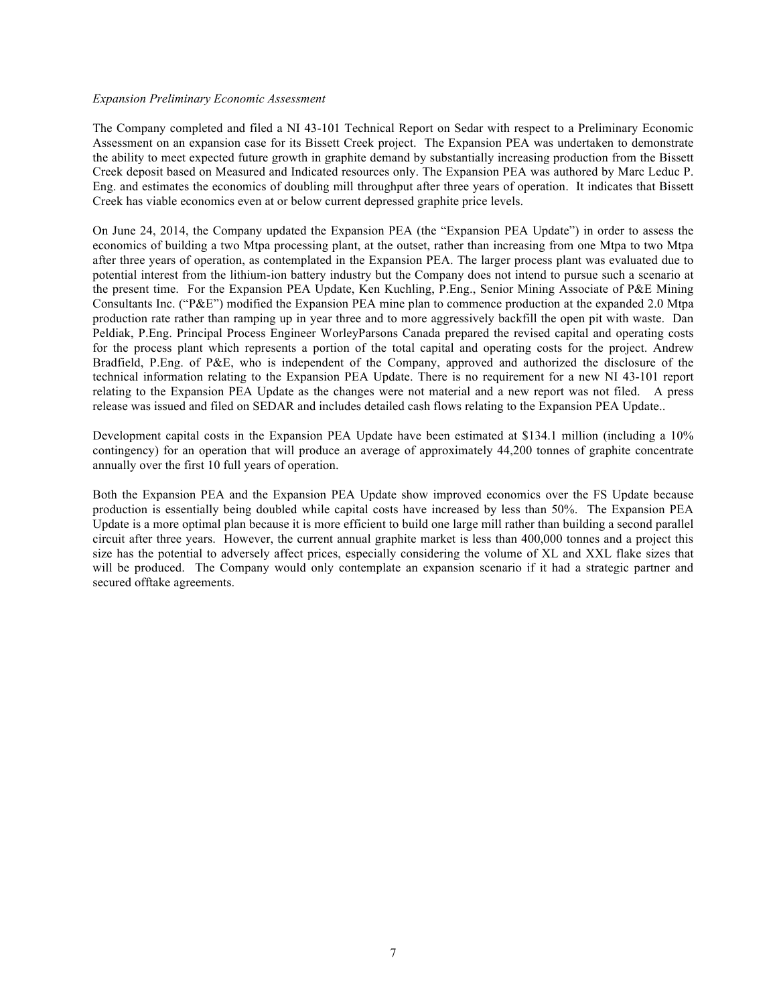#### *Expansion Preliminary Economic Assessment*

The Company completed and filed a NI 43-101 Technical Report on Sedar with respect to a Preliminary Economic Assessment on an expansion case for its Bissett Creek project. The Expansion PEA was undertaken to demonstrate the ability to meet expected future growth in graphite demand by substantially increasing production from the Bissett Creek deposit based on Measured and Indicated resources only. The Expansion PEA was authored by Marc Leduc P. Eng. and estimates the economics of doubling mill throughput after three years of operation. It indicates that Bissett Creek has viable economics even at or below current depressed graphite price levels.

On June 24, 2014, the Company updated the Expansion PEA (the "Expansion PEA Update") in order to assess the economics of building a two Mtpa processing plant, at the outset, rather than increasing from one Mtpa to two Mtpa after three years of operation, as contemplated in the Expansion PEA. The larger process plant was evaluated due to potential interest from the lithium-ion battery industry but the Company does not intend to pursue such a scenario at the present time. For the Expansion PEA Update, Ken Kuchling, P.Eng., Senior Mining Associate of P&E Mining Consultants Inc. ("P&E") modified the Expansion PEA mine plan to commence production at the expanded 2.0 Mtpa production rate rather than ramping up in year three and to more aggressively backfill the open pit with waste. Dan Peldiak, P.Eng. Principal Process Engineer WorleyParsons Canada prepared the revised capital and operating costs for the process plant which represents a portion of the total capital and operating costs for the project. Andrew Bradfield, P.Eng. of P&E, who is independent of the Company, approved and authorized the disclosure of the technical information relating to the Expansion PEA Update. There is no requirement for a new NI 43-101 report relating to the Expansion PEA Update as the changes were not material and a new report was not filed. A press release was issued and filed on SEDAR and includes detailed cash flows relating to the Expansion PEA Update..

Development capital costs in the Expansion PEA Update have been estimated at \$134.1 million (including a 10% contingency) for an operation that will produce an average of approximately 44,200 tonnes of graphite concentrate annually over the first 10 full years of operation.

Both the Expansion PEA and the Expansion PEA Update show improved economics over the FS Update because production is essentially being doubled while capital costs have increased by less than 50%. The Expansion PEA Update is a more optimal plan because it is more efficient to build one large mill rather than building a second parallel circuit after three years. However, the current annual graphite market is less than 400,000 tonnes and a project this size has the potential to adversely affect prices, especially considering the volume of XL and XXL flake sizes that will be produced. The Company would only contemplate an expansion scenario if it had a strategic partner and secured offtake agreements.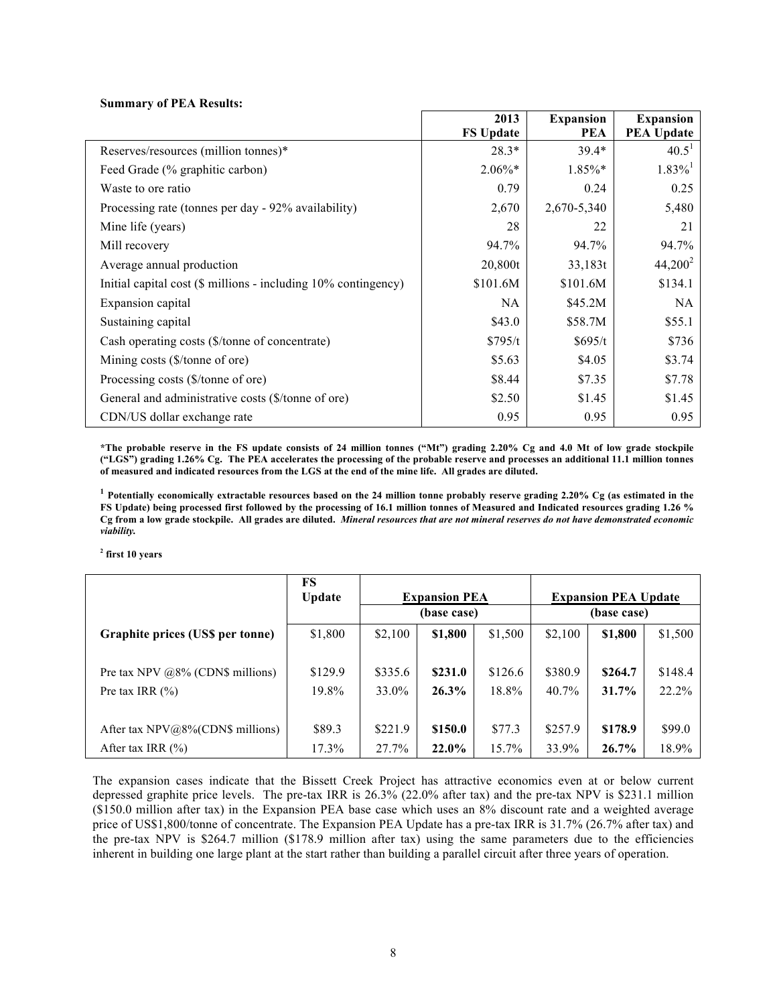#### **Summary of PEA Results:**

|                                                                | 2013             | <b>Expansion</b> | <b>Expansion</b>      |
|----------------------------------------------------------------|------------------|------------------|-----------------------|
|                                                                | <b>FS Update</b> | <b>PEA</b>       | <b>PEA Update</b>     |
| Reserves/resources (million tonnes)*                           | $28.3*$          | $39.4*$          | $40.5^1$              |
| Feed Grade (% graphitic carbon)                                | $2.06\%*$        | 1.85%*           | $1.83\%$ <sup>1</sup> |
| Waste to ore ratio                                             | 0.79             | 0.24             | 0.25                  |
| Processing rate (tonnes per day - 92% availability)            | 2,670            | 2,670-5,340      | 5,480                 |
| Mine life (years)                                              | 28               | 22               | 21                    |
| Mill recovery                                                  | 94.7%            | 94.7%            | 94.7%                 |
| Average annual production                                      | 20,800t          | 33,183t          | $44,200^2$            |
| Initial capital cost (\$ millions - including 10% contingency) | \$101.6M         | \$101.6M         | \$134.1               |
| Expansion capital                                              | NA               | \$45.2M          | <b>NA</b>             |
| Sustaining capital                                             | \$43.0           | \$58.7M          | \$55.1                |
| Cash operating costs (\$/tonne of concentrate)                 | \$795/t          | \$695/t          | \$736                 |
| Mining costs $(\frac{5}{\tanh \theta}$ of ore)                 | \$5.63           | \$4.05           | \$3.74                |
| Processing costs (\$/tonne of ore)                             | \$8.44           | \$7.35           | \$7.78                |
| General and administrative costs (\$/tonne of ore)             | \$2.50           | \$1.45           | \$1.45                |
| CDN/US dollar exchange rate                                    | 0.95             | 0.95             | 0.95                  |

**\*The probable reserve in the FS update consists of 24 million tonnes ("Mt") grading 2.20% Cg and 4.0 Mt of low grade stockpile ("LGS") grading 1.26% Cg. The PEA accelerates the processing of the probable reserve and processes an additional 11.1 million tonnes of measured and indicated resources from the LGS at the end of the mine life. All grades are diluted.**

**<sup>1</sup> Potentially economically extractable resources based on the 24 million tonne probably reserve grading 2.20% Cg (as estimated in the FS Update) being processed first followed by the processing of 16.1 million tonnes of Measured and Indicated resources grading 1.26 % Cg from a low grade stockpile. All grades are diluted.** *Mineral resources that are not mineral reserves do not have demonstrated economic viability.* 

**<sup>2</sup> first 10 years**

|                                      | FS            | <b>Expansion PEA</b> |         |          | <b>Expansion PEA Update</b> |          |         |
|--------------------------------------|---------------|----------------------|---------|----------|-----------------------------|----------|---------|
|                                      | <b>Update</b> | (base case)          |         |          | (base case)                 |          |         |
| Graphite prices (US\$ per tonne)     | \$1,800       | \$2,100              | \$1,800 | \$1,500  | \$2,100                     | \$1,800  | \$1,500 |
| Pre tax NPV $@8\%$ (CDN\$ millions)  | \$129.9       | \$335.6              | \$231.0 | \$126.6  | \$380.9                     | \$264.7  | \$148.4 |
| Pre tax IRR $(\% )$                  | 19.8%         | 33.0%                | 26.3%   | 18.8%    | 40.7%                       | 31.7%    | 22.2%   |
| After tax $NPV@8\%$ (CDN\$ millions) | \$89.3        | \$221.9              | \$150.0 | \$77.3   | \$257.9                     | \$178.9  | \$99.0  |
| After tax IRR $(\% )$                | 17.3%         | 27.7%                | 22.0%   | $15.7\%$ | 33.9%                       | $26.7\%$ | 18.9%   |

The expansion cases indicate that the Bissett Creek Project has attractive economics even at or below current depressed graphite price levels. The pre-tax IRR is 26.3% (22.0% after tax) and the pre-tax NPV is \$231.1 million (\$150.0 million after tax) in the Expansion PEA base case which uses an 8% discount rate and a weighted average price of US\$1,800/tonne of concentrate. The Expansion PEA Update has a pre-tax IRR is 31.7% (26.7% after tax) and the pre-tax NPV is \$264.7 million (\$178.9 million after tax) using the same parameters due to the efficiencies inherent in building one large plant at the start rather than building a parallel circuit after three years of operation.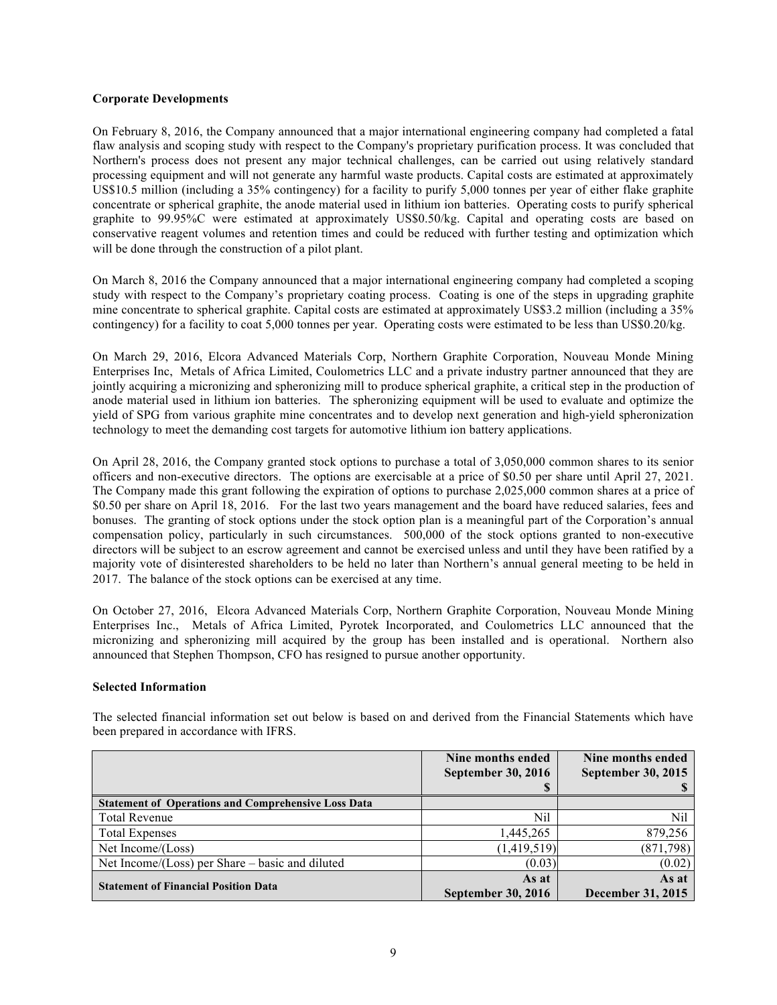### **Corporate Developments**

On February 8, 2016, the Company announced that a major international engineering company had completed a fatal flaw analysis and scoping study with respect to the Company's proprietary purification process. It was concluded that Northern's process does not present any major technical challenges, can be carried out using relatively standard processing equipment and will not generate any harmful waste products. Capital costs are estimated at approximately US\$10.5 million (including a 35% contingency) for a facility to purify 5,000 tonnes per year of either flake graphite concentrate or spherical graphite, the anode material used in lithium ion batteries. Operating costs to purify spherical graphite to 99.95%C were estimated at approximately US\$0.50/kg. Capital and operating costs are based on conservative reagent volumes and retention times and could be reduced with further testing and optimization which will be done through the construction of a pilot plant.

On March 8, 2016 the Company announced that a major international engineering company had completed a scoping study with respect to the Company's proprietary coating process. Coating is one of the steps in upgrading graphite mine concentrate to spherical graphite. Capital costs are estimated at approximately US\$3.2 million (including a 35% contingency) for a facility to coat 5,000 tonnes per year. Operating costs were estimated to be less than US\$0.20/kg.

On March 29, 2016, Elcora Advanced Materials Corp, Northern Graphite Corporation, Nouveau Monde Mining Enterprises Inc, Metals of Africa Limited, Coulometrics LLC and a private industry partner announced that they are jointly acquiring a micronizing and spheronizing mill to produce spherical graphite, a critical step in the production of anode material used in lithium ion batteries. The spheronizing equipment will be used to evaluate and optimize the yield of SPG from various graphite mine concentrates and to develop next generation and high-yield spheronization technology to meet the demanding cost targets for automotive lithium ion battery applications.

On April 28, 2016, the Company granted stock options to purchase a total of 3,050,000 common shares to its senior officers and non-executive directors. The options are exercisable at a price of \$0.50 per share until April 27, 2021. The Company made this grant following the expiration of options to purchase 2,025,000 common shares at a price of \$0.50 per share on April 18, 2016. For the last two years management and the board have reduced salaries, fees and bonuses. The granting of stock options under the stock option plan is a meaningful part of the Corporation's annual compensation policy, particularly in such circumstances. 500,000 of the stock options granted to non-executive directors will be subject to an escrow agreement and cannot be exercised unless and until they have been ratified by a majority vote of disinterested shareholders to be held no later than Northern's annual general meeting to be held in 2017. The balance of the stock options can be exercised at any time.

On October 27, 2016, Elcora Advanced Materials Corp, Northern Graphite Corporation, Nouveau Monde Mining Enterprises Inc., Metals of Africa Limited, Pyrotek Incorporated, and Coulometrics LLC announced that the micronizing and spheronizing mill acquired by the group has been installed and is operational. Northern also announced that Stephen Thompson, CFO has resigned to pursue another opportunity.

### **Selected Information**

The selected financial information set out below is based on and derived from the Financial Statements which have been prepared in accordance with IFRS.

|                                                            | Nine months ended         | Nine months ended         |
|------------------------------------------------------------|---------------------------|---------------------------|
|                                                            | <b>September 30, 2016</b> | <b>September 30, 2015</b> |
|                                                            | D                         |                           |
| <b>Statement of Operations and Comprehensive Loss Data</b> |                           |                           |
| <b>Total Revenue</b>                                       | Nil                       | Nil                       |
| <b>Total Expenses</b>                                      | 1,445,265                 | 879,256                   |
| Net Income/(Loss)                                          | (1,419,519)               | (871, 798)                |
| Net Income/(Loss) per Share – basic and diluted            | (0.03)                    | (0.02)                    |
| <b>Statement of Financial Position Data</b>                | As at                     | As at                     |
|                                                            | <b>September 30, 2016</b> | December 31, 2015         |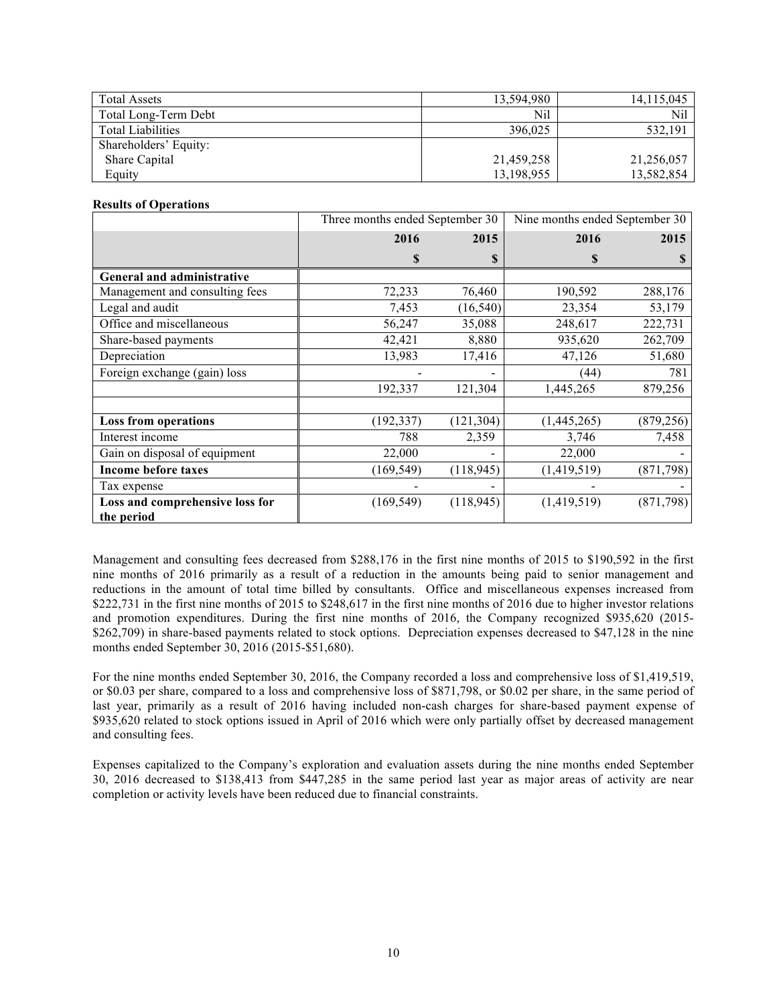| <b>Total Assets</b>      | 13.594.980 | 14,115,045 |
|--------------------------|------------|------------|
| Total Long-Term Debt     | Nil        | Nil        |
| <b>Total Liabilities</b> | 396.025    | 532,191    |
| Shareholders' Equity:    |            |            |
| Share Capital            | 21,459,258 | 21,256,057 |
| Equity                   | 13,198,955 | 13,582,854 |

### **Results of Operations**

|                                               | Three months ended September 30 |            | Nine months ended September 30 |            |
|-----------------------------------------------|---------------------------------|------------|--------------------------------|------------|
|                                               | 2016                            | 2015       | 2016                           | 2015       |
|                                               | \$                              | \$         | \$                             |            |
| General and administrative                    |                                 |            |                                |            |
| Management and consulting fees                | 72,233                          | 76,460     | 190,592                        | 288,176    |
| Legal and audit                               | 7,453                           | (16, 540)  | 23,354                         | 53,179     |
| Office and miscellaneous                      | 56,247                          | 35,088     | 248,617                        | 222,731    |
| Share-based payments                          | 42,421                          | 8,880      | 935,620                        | 262,709    |
| Depreciation                                  | 13,983                          | 17,416     | 47,126                         | 51,680     |
| Foreign exchange (gain) loss                  |                                 |            | (44)                           | 781        |
|                                               | 192,337                         | 121,304    | 1,445,265                      | 879,256    |
| <b>Loss from operations</b>                   | (192, 337)                      | (121, 304) | (1,445,265)                    | (879, 256) |
| Interest income                               | 788                             | 2,359      | 3,746                          | 7,458      |
| Gain on disposal of equipment                 | 22,000                          |            | 22,000                         |            |
| <b>Income before taxes</b>                    | (169, 549)                      | (118, 945) | (1,419,519)                    | (871, 798) |
| Tax expense                                   |                                 |            |                                |            |
| Loss and comprehensive loss for<br>the period | (169, 549)                      | (118, 945) | (1,419,519)                    | (871, 798) |

Management and consulting fees decreased from \$288,176 in the first nine months of 2015 to \$190,592 in the first nine months of 2016 primarily as a result of a reduction in the amounts being paid to senior management and reductions in the amount of total time billed by consultants. Office and miscellaneous expenses increased from \$222,731 in the first nine months of 2015 to \$248,617 in the first nine months of 2016 due to higher investor relations and promotion expenditures. During the first nine months of 2016, the Company recognized \$935,620 (2015- \$262,709) in share-based payments related to stock options. Depreciation expenses decreased to \$47,128 in the nine months ended September 30, 2016 (2015-\$51,680).

For the nine months ended September 30, 2016, the Company recorded a loss and comprehensive loss of \$1,419,519, or \$0.03 per share, compared to a loss and comprehensive loss of \$871,798, or \$0.02 per share, in the same period of last year, primarily as a result of 2016 having included non-cash charges for share-based payment expense of \$935,620 related to stock options issued in April of 2016 which were only partially offset by decreased management and consulting fees.

Expenses capitalized to the Company's exploration and evaluation assets during the nine months ended September 30, 2016 decreased to \$138,413 from \$447,285 in the same period last year as major areas of activity are near completion or activity levels have been reduced due to financial constraints.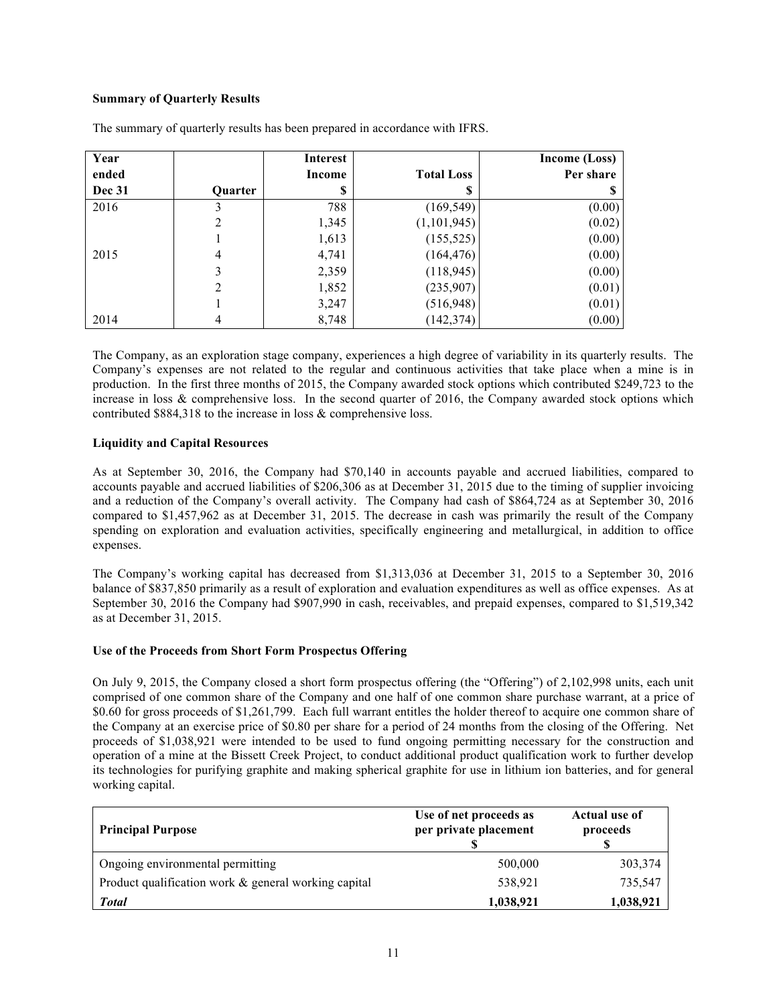# **Summary of Quarterly Results**

| Year          |                | <b>Interest</b> |                   | <b>Income (Loss)</b> |
|---------------|----------------|-----------------|-------------------|----------------------|
| ended         |                | <b>Income</b>   | <b>Total Loss</b> | Per share            |
| <b>Dec 31</b> | Quarter        | S               |                   |                      |
| 2016          | 3              | 788             | (169, 549)        | (0.00)               |
|               | 2              | 1,345           | (1,101,945)       | (0.02)               |
|               |                | 1,613           | (155, 525)        | (0.00)               |
| 2015          | 4              | 4,741           | (164, 476)        | (0.00)               |
|               | 3              | 2,359           | (118, 945)        | (0.00)               |
|               | $\overline{2}$ | 1,852           | (235,907)         | (0.01)               |
|               |                | 3,247           | (516, 948)        | (0.01)               |
| 2014          | 4              | 8,748           | (142, 374)        | (0.00)               |

The summary of quarterly results has been prepared in accordance with IFRS.

The Company, as an exploration stage company, experiences a high degree of variability in its quarterly results. The Company's expenses are not related to the regular and continuous activities that take place when a mine is in production. In the first three months of 2015, the Company awarded stock options which contributed \$249,723 to the increase in loss & comprehensive loss. In the second quarter of 2016, the Company awarded stock options which contributed \$884,318 to the increase in loss & comprehensive loss.

## **Liquidity and Capital Resources**

As at September 30, 2016, the Company had \$70,140 in accounts payable and accrued liabilities, compared to accounts payable and accrued liabilities of \$206,306 as at December 31, 2015 due to the timing of supplier invoicing and a reduction of the Company's overall activity. The Company had cash of \$864,724 as at September 30, 2016 compared to \$1,457,962 as at December 31, 2015. The decrease in cash was primarily the result of the Company spending on exploration and evaluation activities, specifically engineering and metallurgical, in addition to office expenses.

The Company's working capital has decreased from \$1,313,036 at December 31, 2015 to a September 30, 2016 balance of \$837,850 primarily as a result of exploration and evaluation expenditures as well as office expenses. As at September 30, 2016 the Company had \$907,990 in cash, receivables, and prepaid expenses, compared to \$1,519,342 as at December 31, 2015.

## **Use of the Proceeds from Short Form Prospectus Offering**

On July 9, 2015, the Company closed a short form prospectus offering (the "Offering") of 2,102,998 units, each unit comprised of one common share of the Company and one half of one common share purchase warrant, at a price of \$0.60 for gross proceeds of \$1,261,799. Each full warrant entitles the holder thereof to acquire one common share of the Company at an exercise price of \$0.80 per share for a period of 24 months from the closing of the Offering. Net proceeds of \$1,038,921 were intended to be used to fund ongoing permitting necessary for the construction and operation of a mine at the Bissett Creek Project, to conduct additional product qualification work to further develop its technologies for purifying graphite and making spherical graphite for use in lithium ion batteries, and for general working capital.

| <b>Principal Purpose</b>                             | Use of net proceeds as<br>per private placement | Actual use of<br>proceeds |
|------------------------------------------------------|-------------------------------------------------|---------------------------|
| Ongoing environmental permitting                     | 500,000                                         | 303,374                   |
| Product qualification work & general working capital | 538,921                                         | 735,547                   |
| <b>Total</b>                                         | 1,038,921                                       | 1,038,921                 |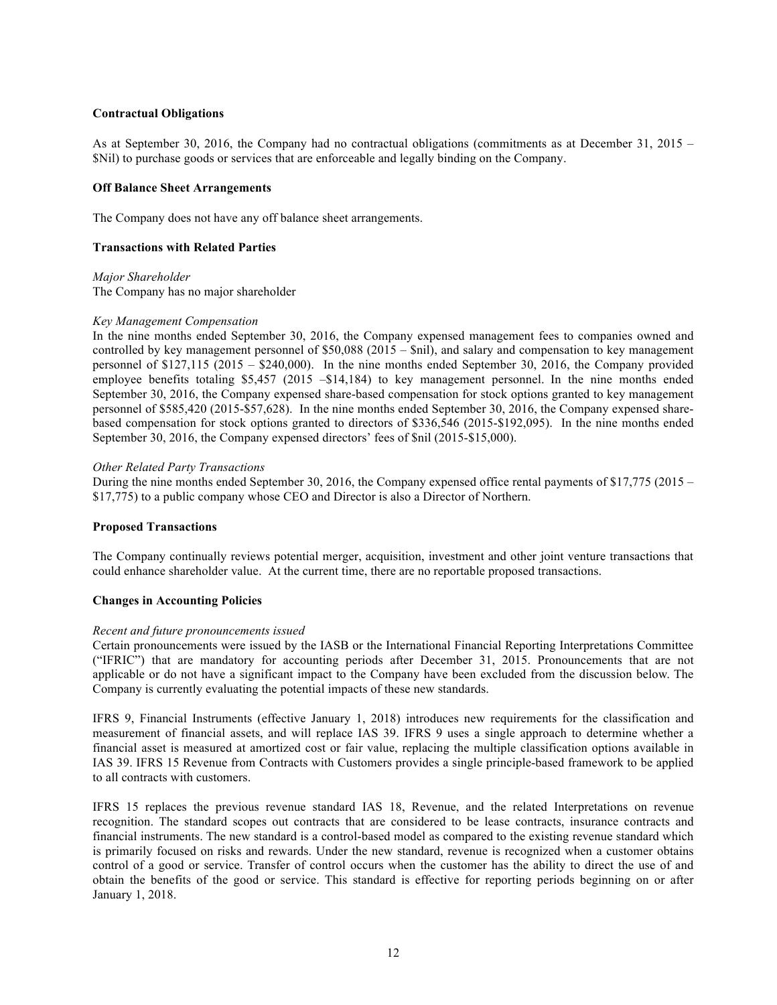### **Contractual Obligations**

As at September 30, 2016, the Company had no contractual obligations (commitments as at December 31, 2015 – \$Nil) to purchase goods or services that are enforceable and legally binding on the Company.

### **Off Balance Sheet Arrangements**

The Company does not have any off balance sheet arrangements.

### **Transactions with Related Parties**

*Major Shareholder*

The Company has no major shareholder

### *Key Management Compensation*

In the nine months ended September 30, 2016, the Company expensed management fees to companies owned and controlled by key management personnel of \$50,088 (2015 – \$nil), and salary and compensation to key management personnel of \$127,115 (2015 – \$240,000). In the nine months ended September 30, 2016, the Company provided employee benefits totaling \$5,457 (2015 – \$14,184) to key management personnel. In the nine months ended September 30, 2016, the Company expensed share-based compensation for stock options granted to key management personnel of \$585,420 (2015-\$57,628). In the nine months ended September 30, 2016, the Company expensed sharebased compensation for stock options granted to directors of \$336,546 (2015-\$192,095). In the nine months ended September 30, 2016, the Company expensed directors' fees of \$nil (2015-\$15,000).

### *Other Related Party Transactions*

During the nine months ended September 30, 2016, the Company expensed office rental payments of \$17,775 (2015 – \$17,775) to a public company whose CEO and Director is also a Director of Northern.

### **Proposed Transactions**

The Company continually reviews potential merger, acquisition, investment and other joint venture transactions that could enhance shareholder value. At the current time, there are no reportable proposed transactions.

### **Changes in Accounting Policies**

### *Recent and future pronouncements issued*

Certain pronouncements were issued by the IASB or the International Financial Reporting Interpretations Committee ("IFRIC") that are mandatory for accounting periods after December 31, 2015. Pronouncements that are not applicable or do not have a significant impact to the Company have been excluded from the discussion below. The Company is currently evaluating the potential impacts of these new standards.

IFRS 9, Financial Instruments (effective January 1, 2018) introduces new requirements for the classification and measurement of financial assets, and will replace IAS 39. IFRS 9 uses a single approach to determine whether a financial asset is measured at amortized cost or fair value, replacing the multiple classification options available in IAS 39. IFRS 15 Revenue from Contracts with Customers provides a single principle-based framework to be applied to all contracts with customers.

IFRS 15 replaces the previous revenue standard IAS 18, Revenue, and the related Interpretations on revenue recognition. The standard scopes out contracts that are considered to be lease contracts, insurance contracts and financial instruments. The new standard is a control-based model as compared to the existing revenue standard which is primarily focused on risks and rewards. Under the new standard, revenue is recognized when a customer obtains control of a good or service. Transfer of control occurs when the customer has the ability to direct the use of and obtain the benefits of the good or service. This standard is effective for reporting periods beginning on or after January 1, 2018.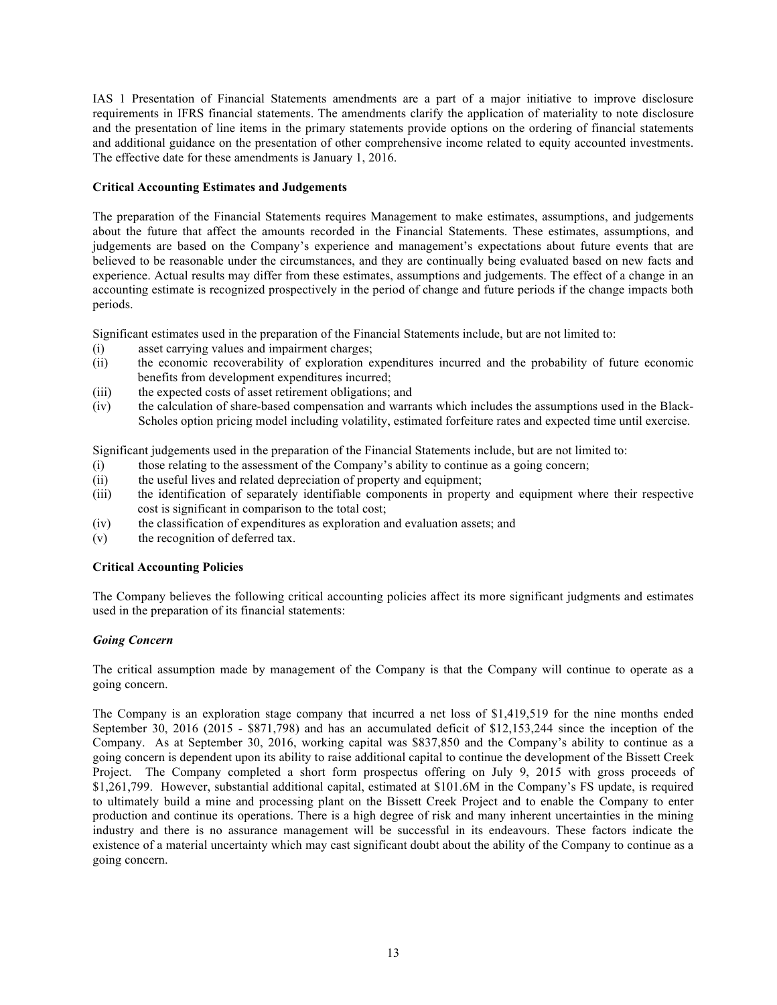IAS 1 Presentation of Financial Statements amendments are a part of a major initiative to improve disclosure requirements in IFRS financial statements. The amendments clarify the application of materiality to note disclosure and the presentation of line items in the primary statements provide options on the ordering of financial statements and additional guidance on the presentation of other comprehensive income related to equity accounted investments. The effective date for these amendments is January 1, 2016.

# **Critical Accounting Estimates and Judgements**

The preparation of the Financial Statements requires Management to make estimates, assumptions, and judgements about the future that affect the amounts recorded in the Financial Statements. These estimates, assumptions, and judgements are based on the Company's experience and management's expectations about future events that are believed to be reasonable under the circumstances, and they are continually being evaluated based on new facts and experience. Actual results may differ from these estimates, assumptions and judgements. The effect of a change in an accounting estimate is recognized prospectively in the period of change and future periods if the change impacts both periods.

Significant estimates used in the preparation of the Financial Statements include, but are not limited to:

- (i) asset carrying values and impairment charges;
- (ii) the economic recoverability of exploration expenditures incurred and the probability of future economic benefits from development expenditures incurred;
- (iii) the expected costs of asset retirement obligations; and
- (iv) the calculation of share-based compensation and warrants which includes the assumptions used in the Black-Scholes option pricing model including volatility, estimated forfeiture rates and expected time until exercise.

Significant judgements used in the preparation of the Financial Statements include, but are not limited to:

- (i) those relating to the assessment of the Company's ability to continue as a going concern;
- (ii) the useful lives and related depreciation of property and equipment;
- (iii) the identification of separately identifiable components in property and equipment where their respective cost is significant in comparison to the total cost;
- (iv) the classification of expenditures as exploration and evaluation assets; and
- (v) the recognition of deferred tax.

# **Critical Accounting Policies**

The Company believes the following critical accounting policies affect its more significant judgments and estimates used in the preparation of its financial statements:

# *Going Concern*

The critical assumption made by management of the Company is that the Company will continue to operate as a going concern.

The Company is an exploration stage company that incurred a net loss of \$1,419,519 for the nine months ended September 30, 2016 (2015 - \$871,798) and has an accumulated deficit of \$12,153,244 since the inception of the Company. As at September 30, 2016, working capital was \$837,850 and the Company's ability to continue as a going concern is dependent upon its ability to raise additional capital to continue the development of the Bissett Creek Project. The Company completed a short form prospectus offering on July 9, 2015 with gross proceeds of \$1,261,799. However, substantial additional capital, estimated at \$101.6M in the Company's FS update, is required to ultimately build a mine and processing plant on the Bissett Creek Project and to enable the Company to enter production and continue its operations. There is a high degree of risk and many inherent uncertainties in the mining industry and there is no assurance management will be successful in its endeavours. These factors indicate the existence of a material uncertainty which may cast significant doubt about the ability of the Company to continue as a going concern.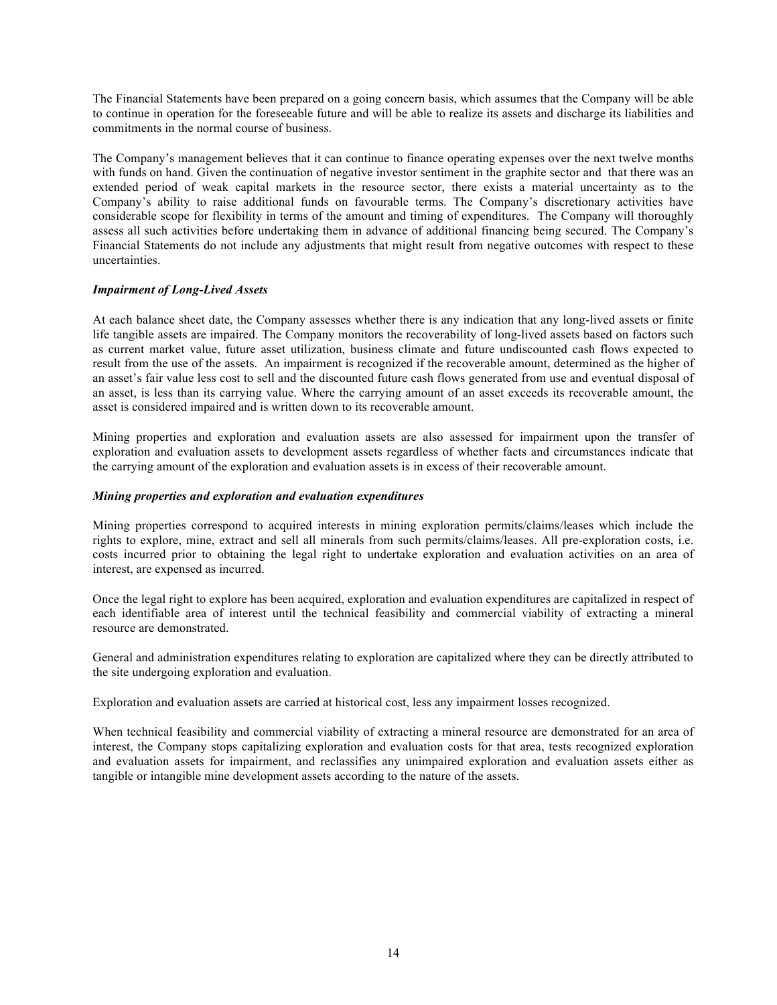The Financial Statements have been prepared on a going concern basis, which assumes that the Company will be able to continue in operation for the foreseeable future and will be able to realize its assets and discharge its liabilities and commitments in the normal course of business.

The Company's management believes that it can continue to finance operating expenses over the next twelve months with funds on hand. Given the continuation of negative investor sentiment in the graphite sector and that there was an extended period of weak capital markets in the resource sector, there exists a material uncertainty as to the Company's ability to raise additional funds on favourable terms. The Company's discretionary activities have considerable scope for flexibility in terms of the amount and timing of expenditures. The Company will thoroughly assess all such activities before undertaking them in advance of additional financing being secured. The Company's Financial Statements do not include any adjustments that might result from negative outcomes with respect to these uncertainties.

## *Impairment of Long-Lived Assets*

At each balance sheet date, the Company assesses whether there is any indication that any long-lived assets or finite life tangible assets are impaired. The Company monitors the recoverability of long-lived assets based on factors such as current market value, future asset utilization, business climate and future undiscounted cash flows expected to result from the use of the assets. An impairment is recognized if the recoverable amount, determined as the higher of an asset's fair value less cost to sell and the discounted future cash flows generated from use and eventual disposal of an asset, is less than its carrying value. Where the carrying amount of an asset exceeds its recoverable amount, the asset is considered impaired and is written down to its recoverable amount.

Mining properties and exploration and evaluation assets are also assessed for impairment upon the transfer of exploration and evaluation assets to development assets regardless of whether facts and circumstances indicate that the carrying amount of the exploration and evaluation assets is in excess of their recoverable amount.

## *Mining properties and exploration and evaluation expenditures*

Mining properties correspond to acquired interests in mining exploration permits/claims/leases which include the rights to explore, mine, extract and sell all minerals from such permits/claims/leases. All pre-exploration costs, i.e. costs incurred prior to obtaining the legal right to undertake exploration and evaluation activities on an area of interest, are expensed as incurred.

Once the legal right to explore has been acquired, exploration and evaluation expenditures are capitalized in respect of each identifiable area of interest until the technical feasibility and commercial viability of extracting a mineral resource are demonstrated.

General and administration expenditures relating to exploration are capitalized where they can be directly attributed to the site undergoing exploration and evaluation.

Exploration and evaluation assets are carried at historical cost, less any impairment losses recognized.

When technical feasibility and commercial viability of extracting a mineral resource are demonstrated for an area of interest, the Company stops capitalizing exploration and evaluation costs for that area, tests recognized exploration and evaluation assets for impairment, and reclassifies any unimpaired exploration and evaluation assets either as tangible or intangible mine development assets according to the nature of the assets.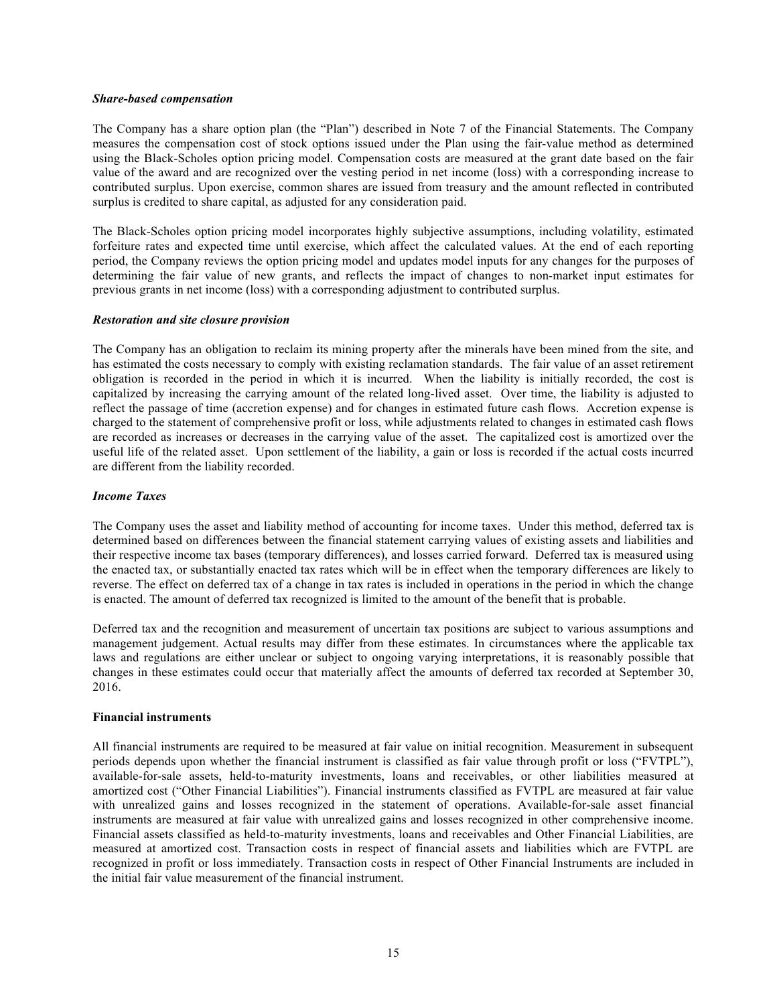#### *Share-based compensation*

The Company has a share option plan (the "Plan") described in Note 7 of the Financial Statements. The Company measures the compensation cost of stock options issued under the Plan using the fair-value method as determined using the Black-Scholes option pricing model. Compensation costs are measured at the grant date based on the fair value of the award and are recognized over the vesting period in net income (loss) with a corresponding increase to contributed surplus. Upon exercise, common shares are issued from treasury and the amount reflected in contributed surplus is credited to share capital, as adjusted for any consideration paid.

The Black-Scholes option pricing model incorporates highly subjective assumptions, including volatility, estimated forfeiture rates and expected time until exercise, which affect the calculated values. At the end of each reporting period, the Company reviews the option pricing model and updates model inputs for any changes for the purposes of determining the fair value of new grants, and reflects the impact of changes to non-market input estimates for previous grants in net income (loss) with a corresponding adjustment to contributed surplus.

### *Restoration and site closure provision*

The Company has an obligation to reclaim its mining property after the minerals have been mined from the site, and has estimated the costs necessary to comply with existing reclamation standards. The fair value of an asset retirement obligation is recorded in the period in which it is incurred. When the liability is initially recorded, the cost is capitalized by increasing the carrying amount of the related long-lived asset. Over time, the liability is adjusted to reflect the passage of time (accretion expense) and for changes in estimated future cash flows. Accretion expense is charged to the statement of comprehensive profit or loss, while adjustments related to changes in estimated cash flows are recorded as increases or decreases in the carrying value of the asset. The capitalized cost is amortized over the useful life of the related asset. Upon settlement of the liability, a gain or loss is recorded if the actual costs incurred are different from the liability recorded.

### *Income Taxes*

The Company uses the asset and liability method of accounting for income taxes. Under this method, deferred tax is determined based on differences between the financial statement carrying values of existing assets and liabilities and their respective income tax bases (temporary differences), and losses carried forward. Deferred tax is measured using the enacted tax, or substantially enacted tax rates which will be in effect when the temporary differences are likely to reverse. The effect on deferred tax of a change in tax rates is included in operations in the period in which the change is enacted. The amount of deferred tax recognized is limited to the amount of the benefit that is probable.

Deferred tax and the recognition and measurement of uncertain tax positions are subject to various assumptions and management judgement. Actual results may differ from these estimates. In circumstances where the applicable tax laws and regulations are either unclear or subject to ongoing varying interpretations, it is reasonably possible that changes in these estimates could occur that materially affect the amounts of deferred tax recorded at September 30, 2016.

#### **Financial instruments**

All financial instruments are required to be measured at fair value on initial recognition. Measurement in subsequent periods depends upon whether the financial instrument is classified as fair value through profit or loss ("FVTPL"), available-for-sale assets, held-to-maturity investments, loans and receivables, or other liabilities measured at amortized cost ("Other Financial Liabilities"). Financial instruments classified as FVTPL are measured at fair value with unrealized gains and losses recognized in the statement of operations. Available-for-sale asset financial instruments are measured at fair value with unrealized gains and losses recognized in other comprehensive income. Financial assets classified as held-to-maturity investments, loans and receivables and Other Financial Liabilities, are measured at amortized cost. Transaction costs in respect of financial assets and liabilities which are FVTPL are recognized in profit or loss immediately. Transaction costs in respect of Other Financial Instruments are included in the initial fair value measurement of the financial instrument.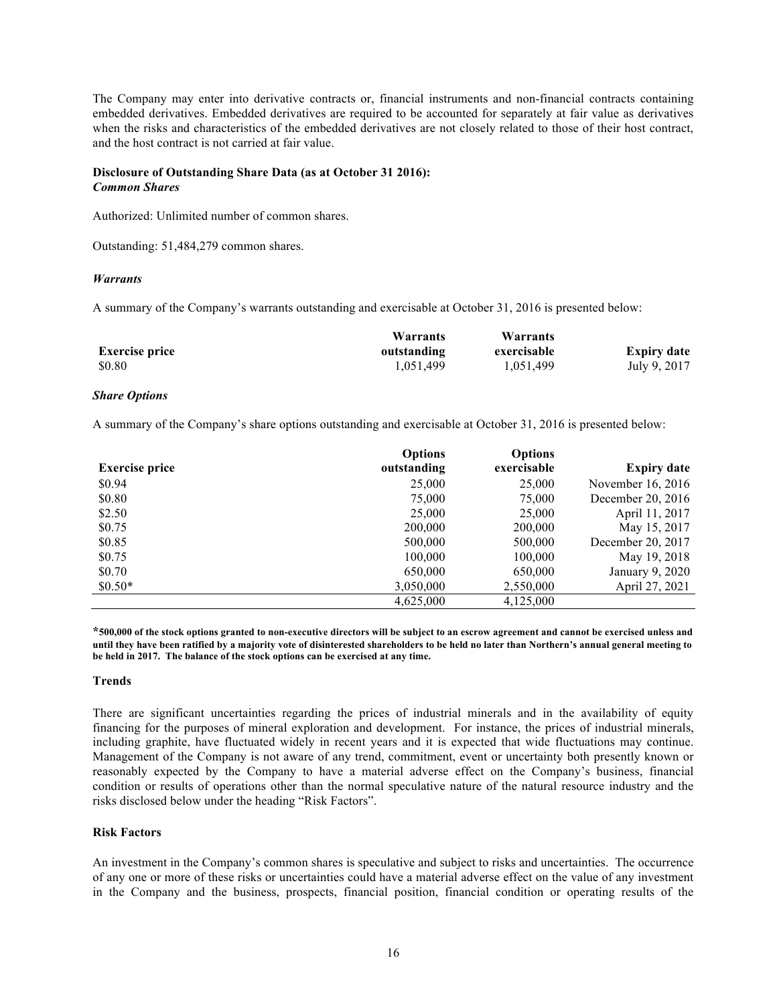The Company may enter into derivative contracts or, financial instruments and non-financial contracts containing embedded derivatives. Embedded derivatives are required to be accounted for separately at fair value as derivatives when the risks and characteristics of the embedded derivatives are not closely related to those of their host contract, and the host contract is not carried at fair value.

### **Disclosure of Outstanding Share Data (as at October 31 2016):** *Common Shares*

Authorized: Unlimited number of common shares.

Outstanding: 51,484,279 common shares.

### *Warrants*

A summary of the Company's warrants outstanding and exercisable at October 31, 2016 is presented below:

|                       | Warrants    | Warrants    |                    |
|-----------------------|-------------|-------------|--------------------|
| <b>Exercise price</b> | outstanding | exercisable | <b>Expiry date</b> |
| \$0.80                | 1.051.499   | 1,051,499   | July 9, 2017       |

### *Share Options*

A summary of the Company's share options outstanding and exercisable at October 31, 2016 is presented below:

|                       | <b>Options</b> | <b>Options</b> |                    |
|-----------------------|----------------|----------------|--------------------|
| <b>Exercise price</b> | outstanding    | exercisable    | <b>Expiry date</b> |
| \$0.94                | 25,000         | 25,000         | November 16, 2016  |
| \$0.80                | 75,000         | 75,000         | December 20, 2016  |
| \$2.50                | 25,000         | 25,000         | April 11, 2017     |
| \$0.75                | 200,000        | 200,000        | May 15, 2017       |
| \$0.85                | 500,000        | 500,000        | December 20, 2017  |
| \$0.75                | 100,000        | 100,000        | May 19, 2018       |
| \$0.70                | 650,000        | 650,000        | January 9, 2020    |
| $$0.50*$              | 3,050,000      | 2,550,000      | April 27, 2021     |
|                       | 4,625,000      | 4,125,000      |                    |

**\*500,000 of the stock options granted to non-executive directors will be subject to an escrow agreement and cannot be exercised unless and until they have been ratified by a majority vote of disinterested shareholders to be held no later than Northern's annual general meeting to be held in 2017. The balance of the stock options can be exercised at any time.**

### **Trends**

There are significant uncertainties regarding the prices of industrial minerals and in the availability of equity financing for the purposes of mineral exploration and development. For instance, the prices of industrial minerals, including graphite, have fluctuated widely in recent years and it is expected that wide fluctuations may continue. Management of the Company is not aware of any trend, commitment, event or uncertainty both presently known or reasonably expected by the Company to have a material adverse effect on the Company's business, financial condition or results of operations other than the normal speculative nature of the natural resource industry and the risks disclosed below under the heading "Risk Factors".

# **Risk Factors**

An investment in the Company's common shares is speculative and subject to risks and uncertainties. The occurrence of any one or more of these risks or uncertainties could have a material adverse effect on the value of any investment in the Company and the business, prospects, financial position, financial condition or operating results of the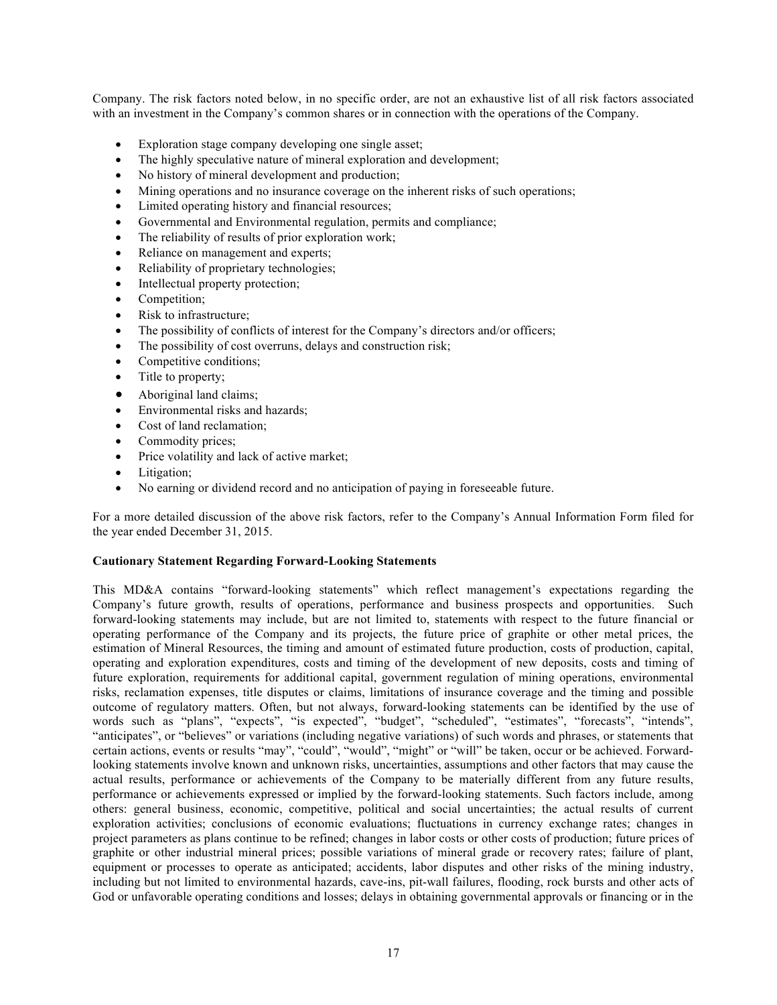Company. The risk factors noted below, in no specific order, are not an exhaustive list of all risk factors associated with an investment in the Company's common shares or in connection with the operations of the Company.

- Exploration stage company developing one single asset;
- The highly speculative nature of mineral exploration and development;
- No history of mineral development and production;
- Mining operations and no insurance coverage on the inherent risks of such operations;
- Limited operating history and financial resources;
- Governmental and Environmental regulation, permits and compliance;
- The reliability of results of prior exploration work;
- Reliance on management and experts;
- Reliability of proprietary technologies;
- Intellectual property protection;
- Competition;
- Risk to infrastructure;
- The possibility of conflicts of interest for the Company's directors and/or officers;
- The possibility of cost overruns, delays and construction risk;
- Competitive conditions;
- Title to property;
- Aboriginal land claims;
- Environmental risks and hazards;
- Cost of land reclamation;
- Commodity prices;
- Price volatility and lack of active market;
- Litigation;
- No earning or dividend record and no anticipation of paying in foreseeable future.

For a more detailed discussion of the above risk factors, refer to the Company's Annual Information Form filed for the year ended December 31, 2015.

### **Cautionary Statement Regarding Forward-Looking Statements**

This MD&A contains "forward-looking statements" which reflect management's expectations regarding the Company's future growth, results of operations, performance and business prospects and opportunities. Such forward-looking statements may include, but are not limited to, statements with respect to the future financial or operating performance of the Company and its projects, the future price of graphite or other metal prices, the estimation of Mineral Resources, the timing and amount of estimated future production, costs of production, capital, operating and exploration expenditures, costs and timing of the development of new deposits, costs and timing of future exploration, requirements for additional capital, government regulation of mining operations, environmental risks, reclamation expenses, title disputes or claims, limitations of insurance coverage and the timing and possible outcome of regulatory matters. Often, but not always, forward-looking statements can be identified by the use of words such as "plans", "expects", "is expected", "budget", "scheduled", "estimates", "forecasts", "intends", "anticipates", or "believes" or variations (including negative variations) of such words and phrases, or statements that certain actions, events or results "may", "could", "would", "might" or "will" be taken, occur or be achieved. Forwardlooking statements involve known and unknown risks, uncertainties, assumptions and other factors that may cause the actual results, performance or achievements of the Company to be materially different from any future results, performance or achievements expressed or implied by the forward-looking statements. Such factors include, among others: general business, economic, competitive, political and social uncertainties; the actual results of current exploration activities; conclusions of economic evaluations; fluctuations in currency exchange rates; changes in project parameters as plans continue to be refined; changes in labor costs or other costs of production; future prices of graphite or other industrial mineral prices; possible variations of mineral grade or recovery rates; failure of plant, equipment or processes to operate as anticipated; accidents, labor disputes and other risks of the mining industry, including but not limited to environmental hazards, cave-ins, pit-wall failures, flooding, rock bursts and other acts of God or unfavorable operating conditions and losses; delays in obtaining governmental approvals or financing or in the